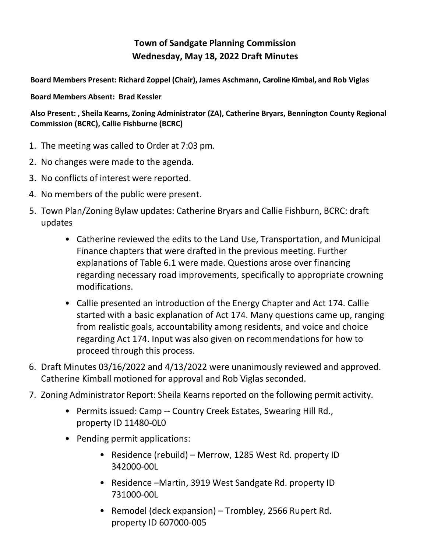## **Town of Sandgate Planning Commission Wednesday, May 18, 2022 Draft Minutes**

**Board Members Present: Richard Zoppel (Chair), James Aschmann, Caroline Kimbal, and Rob Viglas**

**Board Members Absent: Brad Kessler**

**Also Present: , Sheila Kearns, Zoning Administrator (ZA), Catherine Bryars, Bennington County Regional Commission (BCRC), Callie Fishburne (BCRC)**

- 1. The meeting was called to Order at 7:03 pm.
- 2. No changes were made to the agenda.
- 3. No conflicts of interest were reported.
- 4. No members of the public were present.
- 5. Town Plan/Zoning Bylaw updates: Catherine Bryars and Callie Fishburn, BCRC: draft updates
	- Catherine reviewed the edits to the Land Use, Transportation, and Municipal Finance chapters that were drafted in the previous meeting. Further explanations of Table 6.1 were made. Questions arose over financing regarding necessary road improvements, specifically to appropriate crowning modifications.
	- Callie presented an introduction of the Energy Chapter and Act 174. Callie started with a basic explanation of Act 174. Many questions came up, ranging from realistic goals, accountability among residents, and voice and choice regarding Act 174. Input was also given on recommendations for how to proceed through this process.
- 6. Draft Minutes 03/16/2022 and 4/13/2022 were unanimously reviewed and approved. Catherine Kimball motioned for approval and Rob Viglas seconded.
- 7. Zoning Administrator Report: Sheila Kearns reported on the following permit activity.
	- Permits issued: Camp -- Country Creek Estates, Swearing Hill Rd., property ID 11480-0L0
	- Pending permit applications:
		- Residence (rebuild) Merrow, 1285 West Rd. property ID 342000-00L
		- Residence –Martin, 3919 West Sandgate Rd. property ID 731000-00L
		- Remodel (deck expansion) Trombley, 2566 Rupert Rd. property ID 607000-005